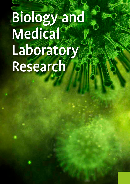# Biology and **Medical®** Laboratory Research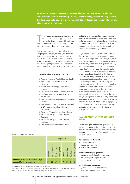**BIOLOGY AND MEDICAL LABORATORY RESEARCH is a programme that trains students to work as research staff in a laboratory. The key element is biology as referred to by the term Life Sciences, a wide-ranging course in molecular biology focusing on research into bacteria, plants, animals and humans.** 

The course started out as two programmes<br>and this division is still apparent in the<br>main professional domains, with biologica<br>research and development on the one hand and he course started out as two programmes and this division is still apparent in the main professional domains, with biological medical laboratory diagnostics on the other.

As a researcher, the graduate is involved in developing new products, materials, methods and processes or improving existing ones, particularly in the pharmaceutical and food industries, academic research groups, research institutes and crop breeding and protection. Graduates participate unsupervised in research teams. They develop

#### Institutions that offer the programme

- : Avans University of Applied Sciences, Breda
- **E** HAN University of Applied Sciences, Nijmegen
- **E** Hanze University of Applied Sciences, Groningen
- **INCOLLET HU University of Applied Sciences, Utrecht**
- **Inholland University of Applied Sciences,** Amsterdam
- **NHL Stenden University of Applied Sciences,** Emmen
- **INHL Stenden University of Applied Sciences** VHL University of Applied Sciences, Leeuwarden
- **Rotterdam University of Applied Sciences**
- **Saxion University of Applied Sciences,** Deventer
- Saxion University of Applied Sciences, Enschede
- **I** University of Applied Sciences Leiden

#### **National programme profile**

|                                                                 | Competence     |                 |             |            |        |             |            |                 |
|-----------------------------------------------------------------|----------------|-----------------|-------------|------------|--------|-------------|------------|-----------------|
|                                                                 | Research       | Experimentation | Development | Management | Advice | Instruction | Leadership | Self-management |
| Minimum national attainment target<br>adopted for the programme | $\mathbf{u}^*$ | Ш               | $**$        | $\star$    | ı*     | ı*          | ı*         | π               |

\* At least one of these competences must be raised by one level.

\*\* Students can choose to raise the level of these competences by making certain choices in their range of subjects, internship and graduation project during the last two years of their course.

and build an experimental test setup, conduct and interpret experiments, draw conclusions and make recommendations. In smaller organisations, the approach is often more hands-on, with the graduate also being responsible for organising, coordinating and directing the work.

Diagnostics laboratories in the health sector conduct research into material of human (or sometimes animal) origin. These are usually laboratories working in the fields of clinical chemistry, medical microbiology, cytohistopathology, haematology, immunology, endocrinology or clinical genetic research. Working as researchers, graduates help to find answers to clinical questions by applying scientific methods of analysis in the diagnosis, treatment and prevention of disease. They work throughout the sampling process and it is therefore important for those occupying this post to accumulate the knowledge and understanding required to include clinical data in the performance and interpretation of the research and to make connections between medical issues and (provisional) research results. The great diversity of analyses, ranging from manual to fully automated and robotised analyses, requires versatility and the effective deployment of technologies, equipment, IT and quality assurance. In a laboratory setting, graduates can progress to specialist and/or management roles.

#### **ILLUSTRATION OF PROFESSIONAL FIELD**

Occupations, jobs and roles for graduates are mostly to be found in the following professional domains (for a full description of the professional domains, see Section 2). A few examples are given for each domain.

#### **Research and development**

- Laboratory researcher
- Animal testing worker
- Vaccine development

#### **Medical laboratory diagnostics**

- Analyst in hospital or diagnostic centre
- Introducing new diagnostic tests
- Developing test methods

#### **Application and production**

- Quality assurance in food industry
	- Small-scale production of drugs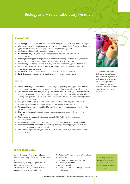## Biology and Medical Laboratory Research

#### **KNOWLEDGE**

- **E:** Cell biology: structure and function of eukaryotic and prokaryotic cells, metabolism, transport
- : Chemistry: basic chemistry (atomic structure, reactions in water, kinetics), analytical chemistry (spectroscopy, chromatography), organic chemistry (functional groups)
- **E** Biochemistry: biomolecules, protein and enzyme chemistry
- **In Molecular biology:** DNA, heredity, molecular genetics, recombinant DNA, simple bio-informatics
- **E** Anatomy/physiology/pathology: structure and function of organ systems, blood, endocrine system etc., for research and diagnostics (clinical chemistry, haematology)
- **Immunology:** innate and acquired immunity, molecular mechanisms, practical applications
- **In Microbiology:** growth and classification of micro-organisms, pathogenetic mechanisms, infectious diseases, resistance
- **I** Mathematics: chemical calculations, functions (differentiating, integrating)
- Statistics: data processing, normal distribution, confidence intervals, testing

#### **SKILLS**

- **E** General laboratory skills based on GLP rules: weighing, pipetting, making solutions (buffers, culture media) and preparations, colourings, microscopy, lab journal, chemical calculations
- **In** Safe working in the laboratory, working in accordance with GMT rules (good microbiological techniques): working in aseptic conditions, culturing micro-organisms and eukaryotic cells, working with special media, biological materials (tissues, cells, etc.) and biomolecules (proteins and/or antibodies, DNA)
- **E** Using standard laboratory equipment: pH meter, spectrophotometer, centrifuge, power sources, electrophoretic equipment, fume cupboard, safety cabinet, microscope
- **In Molecular-biology techniques:** DNA/RNA-isolation, digestion, ligation, transformation, PCR, gel electrophoresis
- **Chemical analysis methods:** spectrometry, chromatography, enzyme analysis, bonding analysis
- : (Bio)chemical procedures: fractionation methods, SDS-PAGE, blotting, preparative chromatography
- **Computer skills:** spreadsheets, slide presentations, bio-informatics tools, simple imaging
- **E** Social and communication skills: collaborating, meetings, reporting (lab journal, research report), presentation, project-based work, ethics
- Research skills: problem analysis, research questions, desk research, research planning and implementation



The Body of Knowledge and Skills is a summary of graduates' basic knowledge and basic skills which has been prepared by the HBO-programmes in consultation with the professional field. These are obtained during the first two years of education.

#### **TYPICAL TEXTBOOKS**

- *Campbell Biology,* L.A. Urry, M.L. Cain e.a.
- *Medical Microbiology,* P.R. Murray, K.S. Rosenthal e.a.
- *Biochemistry,* J.M. Berg, J.L. Tymoczko e.a.
- *Chemistry,* J.E. McMurry. R.C. Fay e.a.
- *Molecular Cell Biology,* H. Lodish, A. Berk
- *Immunology,* D. Male, S. Peebles e.a.
- *Brock Biology of Microorganisms,* M.T. Madigan, K.S. Bender e.a.
- *Bacteriologie voor laboratorium en kliniek,*  N.M. Knecht, J. Doornbos
- *iGenetics,* P.J. Russel
- *Toegepaste Wiskunde voor het hoger onderwijs,*  J.H. Blankespoor
- The list of typical textbooks
- serves as an illustration to give an impression of the level at
	-
	- which the subject is taught in the study programme.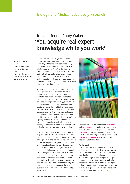### Biology and Medical Laboratory Research

## Junior scientist Romy Waber: 'You acquire real expert knowledge while you work'

'Iwas interested in biology from an early age and found DNA in particular extremely interesting. At the end of my senior secondary education, my subject cluster project was: CSI, what's true and what's not? At the time, we had the opportunity to do the practical work at Zuyd University of Applied Sciences, where I encountered pipettes, test tubes and of course DNA technologies for the first time. I thought this was so interesting and enjoyable that I decided to delve more deeply into biochemistry.

The programme met my expectations, although I thought the first year in my department was somewhat wide-ranging. I knew for sure that I wanted to go further in biochemistry and therefore found subjects like chemical engineering and process technology less interesting, although I did of course understand that a wide-ranging course can be very useful. I wanted to know more about DNA, RNA, PCR and real-time PCR but we only got the basics at university. I therefore went in search of an internship which offered a lot in terms of DNA and RNA technologies and ended up at PathoFinder: a young company which does a lot of research into the development of new molecular diagnostics. It's not only conventional methods that are used, new technologies are also designed and tested there.

As a junior scientist at PathoFinder, I am jointly responsible for developing a point-of-care instrument for diagnosing highly contagious respiratory pathogens, resistance patterns and biomarkers. We are also developing a new generation of molecular diagnostics focusing on the rapid detection and identification of human pathogens caused by an infection. PathoFinder uses multiparameter analysis technologies which are designed to perform analyses of highly complicated samples quickly and easily. As far as I am concerned, education and work fitted seamlessly together, especially as I had completed an internship at the company. You mostly learn general theory during the programme but I think you acquire real specialist knowledge while you work.



I do of course need the competences of **research** and **experimentation** a lot because I am employed in the Research and Development department. Development is another important competence. PathoFinder is an ISO 13485 certified company and management | coordination is therefore also a frequently used competence.

#### **Further study**

Over the next few years, I intend to study the various technologies in depth to give me a greater feel for the subject. I would also like to continue participating in international projects so that I can acquire knowledge of other companies and get to know more people in the world of molecular diagnostics. I would like to continue working at PathoFinder or its sister company PathoNostics so that my colleagues and I can put even better and even more products on the market.'

Name: Romy Waber Age: 22 Course of study: Biology and Medical Laboratory Research Place of employment: PathoFinder BV, Maastricht Job: Junior scientist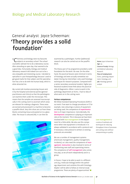# General analyst Joyce Scheerman: 'Theory provides a solid foundation'

hemistry and biology were my favourite subjects at secondary school. The school counsellor advised me to do a laboratory course. After attending an open day, that seemed to be a good idea. Fortunately, biology and medical laboratory research did indeed turn out to be a very enjoyable and interesting course. I decided to specialise in cyto-histopathology because I used to get good marks for that subject and the specialisation has a lot to do with the human body, which is what attracted me.

My current job involves processing tissues sent in by the hospital and external parties (general practitioners and clinics) so that the pathologists can examine them under the microscope. This means that the samples are assessed macroscopically in the cutting room to ascertain which areas are relevant for making a diagnosis. These areas are excised and processed in a machine to become a paraffin block. Very thin slices are cut from these blocks containing tissue and pasted on to a glass slide. The tissue is coloured (HE). It can then be



examined by a pathologist. Further (additional) research can also be carried out on the paraffin block.

The theory part of my programme provided a solid foundation for the work I do now. On the other hand, the practical lessons were minimal in terms of histology and were actually somewhat outdated. During my internships I only used histology techniques for research purposes. Compared with a senior secondary vocational student, higher professional students know little about the practical side of diagnostics. When I came to work in the pathology department at VUmc, I had no idea of what went on in the cutting room.

#### **Various competences**

We follow Standard Operating Procedures (SOP) in our work. If we want to change procedures or if, for example, new colourings or pieces of equipment are being used, the competence of experimentation is of major importance. Coincidentally, the development competence is playing an important role at the moment. This is because we have been involved with lean management in the department for a little while. We also use this competence when new equipment is introduced. It is always validated in accordance with a protocol and if necessary a new protocol is written or existing protocols are amended.

We use a number of management systems (chemicals management, quality management, incidents), so I also need the competence of management. Instruction is also involved in terms of familiarising new staff and supervising interns. The competence of **self-management** also comes into play, as we all work independently and in a group.

In future, I hope to be able to work in a different unit (e.g. molecular biology) within the pathology department and combine this with histology. Maybe I will be able to follow an internal study programme. There are plenty of opportunities!'

#### Name: Joyce Scheerman Age: 24 Course of study: Biology and Medical Laboratory Research Place of employment: VUmc, pathology department, histology unit

Job: Histology general analyst

#### Lean management is

a series of methods and techniques for reducing throughput times of processes and cutting costs without compromising on quality.